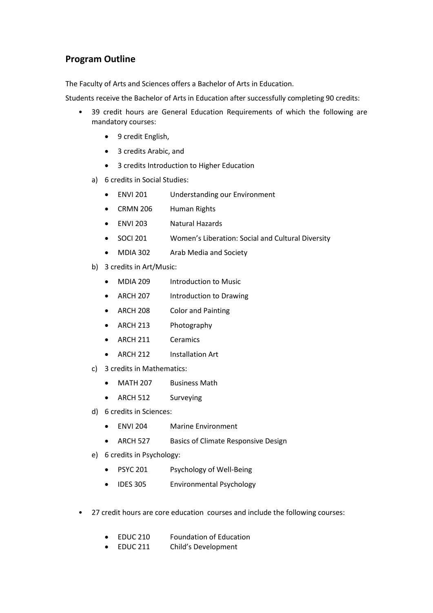## **Program Outline**

The Faculty of Arts and Sciences offers a Bachelor of Arts in Education.

Students receive the Bachelor of Arts in Education after successfully completing 90 credits:

- 39 credit hours are General Education Requirements of which the following are mandatory courses:
	- 9 credit English,
	- 3 credits Arabic, and
	- 3 credits Introduction to Higher Education
	- a) 6 credits in Social Studies:
		- ENVI 201 Understanding our Environment
		- CRMN 206 Human Rights
		- ENVI 203 Natural Hazards
		- SOCI 201 Women's Liberation: Social and Cultural Diversity
		- MDIA 302 Arab Media and Society
	- b) 3 credits in Art/Music:
		- MDIA 209 Introduction to Music
		- ARCH 207 Introduction to Drawing
		- ARCH 208 Color and Painting
		- ARCH 213 Photography
		- ARCH 211 Ceramics
		- ARCH 212 Installation Art
	- c) 3 credits in Mathematics:
		- MATH 207 Business Math
		- ARCH 512 Surveying
	- d) 6 credits in Sciences:
		- ENVI 204 Marine Environment
		- ARCH 527 Basics of Climate Responsive Design
	- e) 6 credits in Psychology:
		- PSYC 201 Psychology of Well-Being
		- IDES 305 Environmental Psychology
- 27 credit hours are core education courses and include the following courses:
	- EDUC 210 Foundation of Education
	- EDUC 211 Child's Development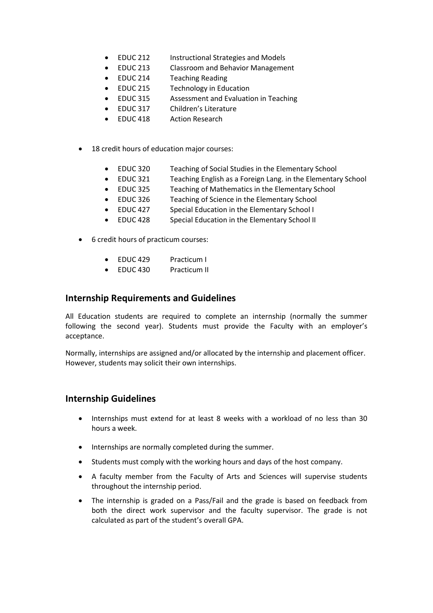- EDUC 212 Instructional Strategies and Models
- EDUC 213 Classroom and Behavior Management
- EDUC 214 Teaching Reading
- EDUC 215 Technology in Education
- EDUC 315 Assessment and Evaluation in Teaching
- EDUC 317 Children's Literature
- EDUC 418 Action Research
- 18 credit hours of education major courses:
	- EDUC 320 Teaching of Social Studies in the Elementary School
	- EDUC 321 Teaching English as a Foreign Lang. in the Elementary School
	- EDUC 325 Teaching of Mathematics in the Elementary School
	- EDUC 326 Teaching of Science in the Elementary School
	- EDUC 427 Special Education in the Elementary School I
	- EDUC 428 Special Education in the Elementary School II
- 6 credit hours of practicum courses:
	- EDUC 429 Practicum I
	- EDUC 430 Practicum II

## **Internship Requirements and Guidelines**

All Education students are required to complete an internship (normally the summer following the second year). Students must provide the Faculty with an employer's acceptance.

Normally, internships are assigned and/or allocated by the internship and placement officer. However, students may solicit their own internships.

## **Internship Guidelines**

- Internships must extend for at least 8 weeks with a workload of no less than 30 hours a week.
- Internships are normally completed during the summer.
- Students must comply with the working hours and days of the host company.
- A faculty member from the Faculty of Arts and Sciences will supervise students throughout the internship period.
- The internship is graded on a Pass/Fail and the grade is based on feedback from both the direct work supervisor and the faculty supervisor. The grade is not calculated as part of the student's overall GPA.